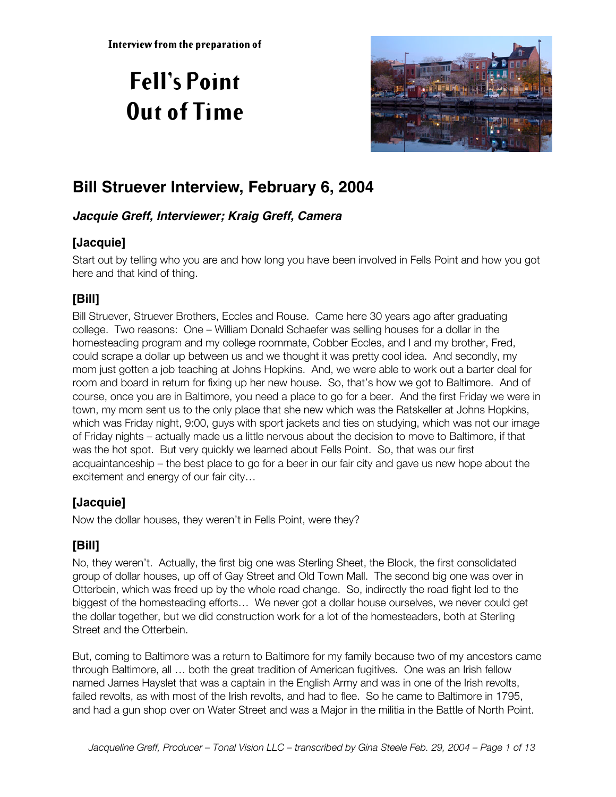# **Fell's Point Out of Time**



# **Bill Struever Interview, February 6, 2004**

#### **Jacquie Greff, Interviewer; Kraig Greff, Camera**

#### **[Jacquie]**

Start out by telling who you are and how long you have been involved in Fells Point and how you got here and that kind of thing.

### **[Bill]**

Bill Struever, Struever Brothers, Eccles and Rouse. Came here 30 years ago after graduating college. Two reasons: One – William Donald Schaefer was selling houses for a dollar in the homesteading program and my college roommate, Cobber Eccles, and I and my brother, Fred, could scrape a dollar up between us and we thought it was pretty cool idea. And secondly, my mom just gotten a job teaching at Johns Hopkins. And, we were able to work out a barter deal for room and board in return for fixing up her new house. So, that's how we got to Baltimore. And of course, once you are in Baltimore, you need a place to go for a beer. And the first Friday we were in town, my mom sent us to the only place that she new which was the Ratskeller at Johns Hopkins, which was Friday night, 9:00, guys with sport jackets and ties on studying, which was not our image of Friday nights – actually made us a little nervous about the decision to move to Baltimore, if that was the hot spot. But very quickly we learned about Fells Point. So, that was our first acquaintanceship – the best place to go for a beer in our fair city and gave us new hope about the excitement and energy of our fair city…

#### **[Jacquie]**

Now the dollar houses, they weren't in Fells Point, were they?

#### **[Bill]**

No, they weren't. Actually, the first big one was Sterling Sheet, the Block, the first consolidated group of dollar houses, up off of Gay Street and Old Town Mall. The second big one was over in Otterbein, which was freed up by the whole road change. So, indirectly the road fight led to the biggest of the homesteading efforts… We never got a dollar house ourselves, we never could get the dollar together, but we did construction work for a lot of the homesteaders, both at Sterling Street and the Otterbein.

But, coming to Baltimore was a return to Baltimore for my family because two of my ancestors came through Baltimore, all … both the great tradition of American fugitives. One was an Irish fellow named James Hayslet that was a captain in the English Army and was in one of the Irish revolts, failed revolts, as with most of the Irish revolts, and had to flee. So he came to Baltimore in 1795, and had a gun shop over on Water Street and was a Major in the militia in the Battle of North Point.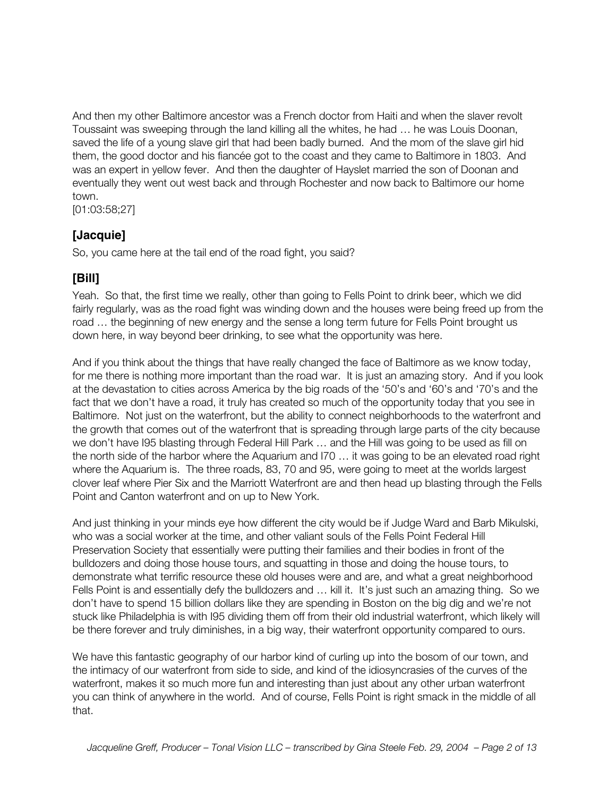And then my other Baltimore ancestor was a French doctor from Haiti and when the slaver revolt Toussaint was sweeping through the land killing all the whites, he had … he was Louis Doonan, saved the life of a young slave girl that had been badly burned. And the mom of the slave girl hid them, the good doctor and his fiancée got to the coast and they came to Baltimore in 1803. And was an expert in yellow fever. And then the daughter of Hayslet married the son of Doonan and eventually they went out west back and through Rochester and now back to Baltimore our home town.

[01:03:58;27]

#### **[Jacquie]**

So, you came here at the tail end of the road fight, you said?

#### **[Bill]**

Yeah. So that, the first time we really, other than going to Fells Point to drink beer, which we did fairly regularly, was as the road fight was winding down and the houses were being freed up from the road … the beginning of new energy and the sense a long term future for Fells Point brought us down here, in way beyond beer drinking, to see what the opportunity was here.

And if you think about the things that have really changed the face of Baltimore as we know today, for me there is nothing more important than the road war. It is just an amazing story. And if you look at the devastation to cities across America by the big roads of the '50's and '60's and '70's and the fact that we don't have a road, it truly has created so much of the opportunity today that you see in Baltimore. Not just on the waterfront, but the ability to connect neighborhoods to the waterfront and the growth that comes out of the waterfront that is spreading through large parts of the city because we don't have I95 blasting through Federal Hill Park ... and the Hill was going to be used as fill on the north side of the harbor where the Aquarium and I70 … it was going to be an elevated road right where the Aquarium is. The three roads, 83, 70 and 95, were going to meet at the worlds largest clover leaf where Pier Six and the Marriott Waterfront are and then head up blasting through the Fells Point and Canton waterfront and on up to New York.

And just thinking in your minds eye how different the city would be if Judge Ward and Barb Mikulski, who was a social worker at the time, and other valiant souls of the Fells Point Federal Hill Preservation Society that essentially were putting their families and their bodies in front of the bulldozers and doing those house tours, and squatting in those and doing the house tours, to demonstrate what terrific resource these old houses were and are, and what a great neighborhood Fells Point is and essentially defy the bulldozers and … kill it. It's just such an amazing thing. So we don't have to spend 15 billion dollars like they are spending in Boston on the big dig and we're not stuck like Philadelphia is with I95 dividing them off from their old industrial waterfront, which likely will be there forever and truly diminishes, in a big way, their waterfront opportunity compared to ours.

We have this fantastic geography of our harbor kind of curling up into the bosom of our town, and the intimacy of our waterfront from side to side, and kind of the idiosyncrasies of the curves of the waterfront, makes it so much more fun and interesting than just about any other urban waterfront you can think of anywhere in the world. And of course, Fells Point is right smack in the middle of all that.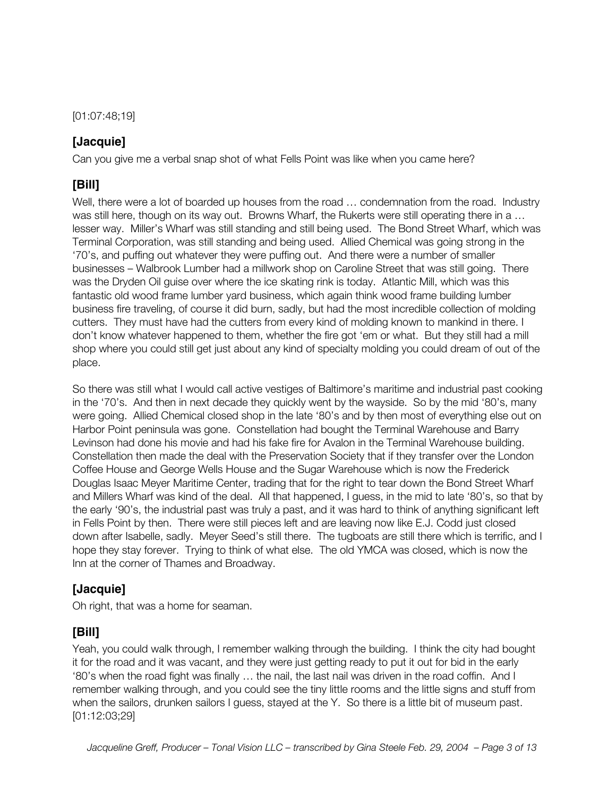[01:07:48;19]

#### **[Jacquie]**

Can you give me a verbal snap shot of what Fells Point was like when you came here?

### **[Bill]**

Well, there were a lot of boarded up houses from the road ... condemnation from the road. Industry was still here, though on its way out. Browns Wharf, the Rukerts were still operating there in a ... lesser way. Miller's Wharf was still standing and still being used. The Bond Street Wharf, which was Terminal Corporation, was still standing and being used. Allied Chemical was going strong in the '70's, and puffing out whatever they were puffing out. And there were a number of smaller businesses – Walbrook Lumber had a millwork shop on Caroline Street that was still going. There was the Dryden Oil guise over where the ice skating rink is today. Atlantic Mill, which was this fantastic old wood frame lumber yard business, which again think wood frame building lumber business fire traveling, of course it did burn, sadly, but had the most incredible collection of molding cutters. They must have had the cutters from every kind of molding known to mankind in there. I don't know whatever happened to them, whether the fire got 'em or what. But they still had a mill shop where you could still get just about any kind of specialty molding you could dream of out of the place.

So there was still what I would call active vestiges of Baltimore's maritime and industrial past cooking in the '70's. And then in next decade they quickly went by the wayside. So by the mid '80's, many were going. Allied Chemical closed shop in the late '80's and by then most of everything else out on Harbor Point peninsula was gone. Constellation had bought the Terminal Warehouse and Barry Levinson had done his movie and had his fake fire for Avalon in the Terminal Warehouse building. Constellation then made the deal with the Preservation Society that if they transfer over the London Coffee House and George Wells House and the Sugar Warehouse which is now the Frederick Douglas Isaac Meyer Maritime Center, trading that for the right to tear down the Bond Street Wharf and Millers Wharf was kind of the deal. All that happened, I guess, in the mid to late '80's, so that by the early '90's, the industrial past was truly a past, and it was hard to think of anything significant left in Fells Point by then. There were still pieces left and are leaving now like E.J. Codd just closed down after Isabelle, sadly. Meyer Seed's still there. The tugboats are still there which is terrific, and I hope they stay forever. Trying to think of what else. The old YMCA was closed, which is now the Inn at the corner of Thames and Broadway.

#### **[Jacquie]**

Oh right, that was a home for seaman.

#### **[Bill]**

Yeah, you could walk through, I remember walking through the building. I think the city had bought it for the road and it was vacant, and they were just getting ready to put it out for bid in the early '80's when the road fight was finally … the nail, the last nail was driven in the road coffin. And I remember walking through, and you could see the tiny little rooms and the little signs and stuff from when the sailors, drunken sailors I guess, stayed at the Y. So there is a little bit of museum past. [01:12:03;29]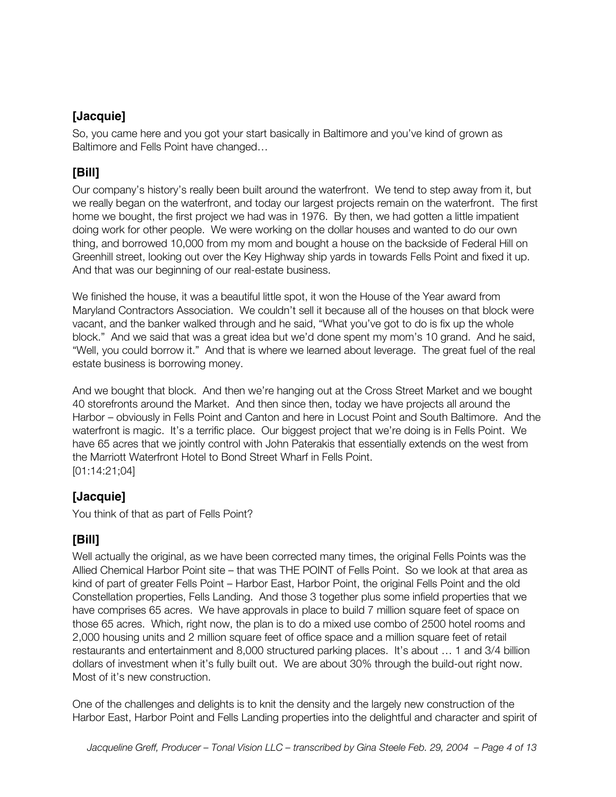#### **[Jacquie]**

So, you came here and you got your start basically in Baltimore and you've kind of grown as Baltimore and Fells Point have changed…

#### **[Bill]**

Our company's history's really been built around the waterfront. We tend to step away from it, but we really began on the waterfront, and today our largest projects remain on the waterfront. The first home we bought, the first project we had was in 1976. By then, we had gotten a little impatient doing work for other people. We were working on the dollar houses and wanted to do our own thing, and borrowed 10,000 from my mom and bought a house on the backside of Federal Hill on Greenhill street, looking out over the Key Highway ship yards in towards Fells Point and fixed it up. And that was our beginning of our real-estate business.

We finished the house, it was a beautiful little spot, it won the House of the Year award from Maryland Contractors Association. We couldn't sell it because all of the houses on that block were vacant, and the banker walked through and he said, "What you've got to do is fix up the whole block." And we said that was a great idea but we'd done spent my mom's 10 grand. And he said, "Well, you could borrow it." And that is where we learned about leverage. The great fuel of the real estate business is borrowing money.

And we bought that block. And then we're hanging out at the Cross Street Market and we bought 40 storefronts around the Market. And then since then, today we have projects all around the Harbor – obviously in Fells Point and Canton and here in Locust Point and South Baltimore. And the waterfront is magic. It's a terrific place. Our biggest project that we're doing is in Fells Point. We have 65 acres that we jointly control with John Paterakis that essentially extends on the west from the Marriott Waterfront Hotel to Bond Street Wharf in Fells Point. [01:14:21;04]

#### **[Jacquie]**

You think of that as part of Fells Point?

#### **[Bill]**

Well actually the original, as we have been corrected many times, the original Fells Points was the Allied Chemical Harbor Point site – that was THE POINT of Fells Point. So we look at that area as kind of part of greater Fells Point – Harbor East, Harbor Point, the original Fells Point and the old Constellation properties, Fells Landing. And those 3 together plus some infield properties that we have comprises 65 acres. We have approvals in place to build 7 million square feet of space on those 65 acres. Which, right now, the plan is to do a mixed use combo of 2500 hotel rooms and 2,000 housing units and 2 million square feet of office space and a million square feet of retail restaurants and entertainment and 8,000 structured parking places. It's about … 1 and 3/4 billion dollars of investment when it's fully built out. We are about 30% through the build-out right now. Most of it's new construction.

One of the challenges and delights is to knit the density and the largely new construction of the Harbor East, Harbor Point and Fells Landing properties into the delightful and character and spirit of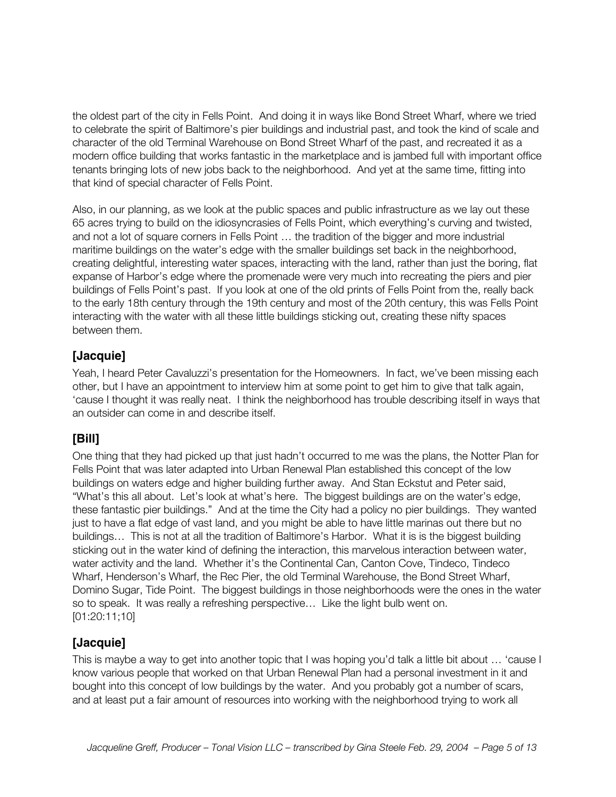the oldest part of the city in Fells Point. And doing it in ways like Bond Street Wharf, where we tried to celebrate the spirit of Baltimore's pier buildings and industrial past, and took the kind of scale and character of the old Terminal Warehouse on Bond Street Wharf of the past, and recreated it as a modern office building that works fantastic in the marketplace and is jambed full with important office tenants bringing lots of new jobs back to the neighborhood. And yet at the same time, fitting into that kind of special character of Fells Point.

Also, in our planning, as we look at the public spaces and public infrastructure as we lay out these 65 acres trying to build on the idiosyncrasies of Fells Point, which everything's curving and twisted, and not a lot of square corners in Fells Point … the tradition of the bigger and more industrial maritime buildings on the water's edge with the smaller buildings set back in the neighborhood, creating delightful, interesting water spaces, interacting with the land, rather than just the boring, flat expanse of Harbor's edge where the promenade were very much into recreating the piers and pier buildings of Fells Point's past. If you look at one of the old prints of Fells Point from the, really back to the early 18th century through the 19th century and most of the 20th century, this was Fells Point interacting with the water with all these little buildings sticking out, creating these nifty spaces between them.

#### **[Jacquie]**

Yeah, I heard Peter Cavaluzzi's presentation for the Homeowners. In fact, we've been missing each other, but I have an appointment to interview him at some point to get him to give that talk again, 'cause I thought it was really neat. I think the neighborhood has trouble describing itself in ways that an outsider can come in and describe itself.

#### **[Bill]**

One thing that they had picked up that just hadn't occurred to me was the plans, the Notter Plan for Fells Point that was later adapted into Urban Renewal Plan established this concept of the low buildings on waters edge and higher building further away. And Stan Eckstut and Peter said, "What's this all about. Let's look at what's here. The biggest buildings are on the water's edge, these fantastic pier buildings." And at the time the City had a policy no pier buildings. They wanted just to have a flat edge of vast land, and you might be able to have little marinas out there but no buildings… This is not at all the tradition of Baltimore's Harbor. What it is is the biggest building sticking out in the water kind of defining the interaction, this marvelous interaction between water, water activity and the land. Whether it's the Continental Can, Canton Cove, Tindeco, Tindeco Wharf, Henderson's Wharf, the Rec Pier, the old Terminal Warehouse, the Bond Street Wharf, Domino Sugar, Tide Point. The biggest buildings in those neighborhoods were the ones in the water so to speak. It was really a refreshing perspective… Like the light bulb went on. [01:20:11;10]

#### **[Jacquie]**

This is maybe a way to get into another topic that I was hoping you'd talk a little bit about … 'cause I know various people that worked on that Urban Renewal Plan had a personal investment in it and bought into this concept of low buildings by the water. And you probably got a number of scars, and at least put a fair amount of resources into working with the neighborhood trying to work all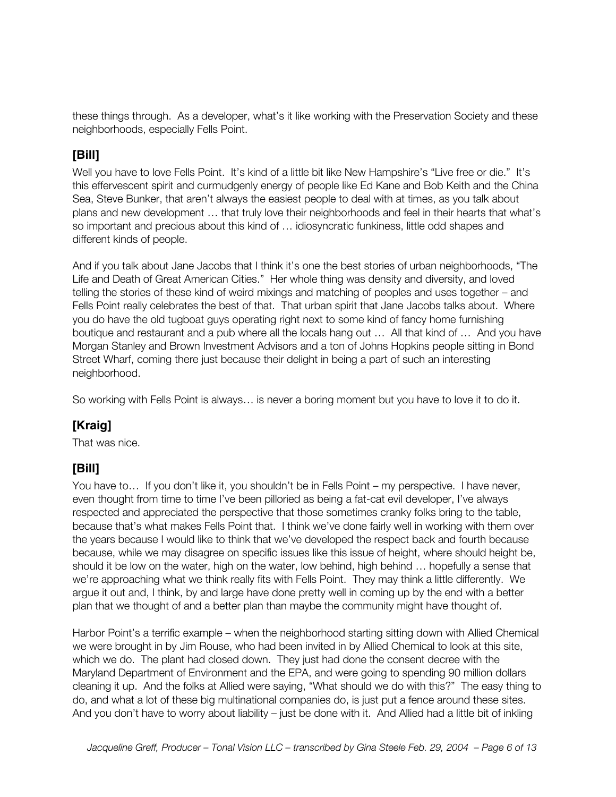these things through. As a developer, what's it like working with the Preservation Society and these neighborhoods, especially Fells Point.

#### **[Bill]**

Well you have to love Fells Point. It's kind of a little bit like New Hampshire's "Live free or die." It's this effervescent spirit and curmudgenly energy of people like Ed Kane and Bob Keith and the China Sea, Steve Bunker, that aren't always the easiest people to deal with at times, as you talk about plans and new development … that truly love their neighborhoods and feel in their hearts that what's so important and precious about this kind of … idiosyncratic funkiness, little odd shapes and different kinds of people.

And if you talk about Jane Jacobs that I think it's one the best stories of urban neighborhoods, "The Life and Death of Great American Cities." Her whole thing was density and diversity, and loved telling the stories of these kind of weird mixings and matching of peoples and uses together – and Fells Point really celebrates the best of that. That urban spirit that Jane Jacobs talks about. Where you do have the old tugboat guys operating right next to some kind of fancy home furnishing boutique and restaurant and a pub where all the locals hang out … All that kind of … And you have Morgan Stanley and Brown Investment Advisors and a ton of Johns Hopkins people sitting in Bond Street Wharf, coming there just because their delight in being a part of such an interesting neighborhood.

So working with Fells Point is always… is never a boring moment but you have to love it to do it.

#### **[Kraig]**

That was nice.

#### **[Bill]**

You have to… If you don't like it, you shouldn't be in Fells Point – my perspective. I have never, even thought from time to time I've been pilloried as being a fat-cat evil developer, I've always respected and appreciated the perspective that those sometimes cranky folks bring to the table, because that's what makes Fells Point that. I think we've done fairly well in working with them over the years because I would like to think that we've developed the respect back and fourth because because, while we may disagree on specific issues like this issue of height, where should height be, should it be low on the water, high on the water, low behind, high behind … hopefully a sense that we're approaching what we think really fits with Fells Point. They may think a little differently. We argue it out and, I think, by and large have done pretty well in coming up by the end with a better plan that we thought of and a better plan than maybe the community might have thought of.

Harbor Point's a terrific example – when the neighborhood starting sitting down with Allied Chemical we were brought in by Jim Rouse, who had been invited in by Allied Chemical to look at this site, which we do. The plant had closed down. They just had done the consent decree with the Maryland Department of Environment and the EPA, and were going to spending 90 million dollars cleaning it up. And the folks at Allied were saying, "What should we do with this?" The easy thing to do, and what a lot of these big multinational companies do, is just put a fence around these sites. And you don't have to worry about liability – just be done with it. And Allied had a little bit of inkling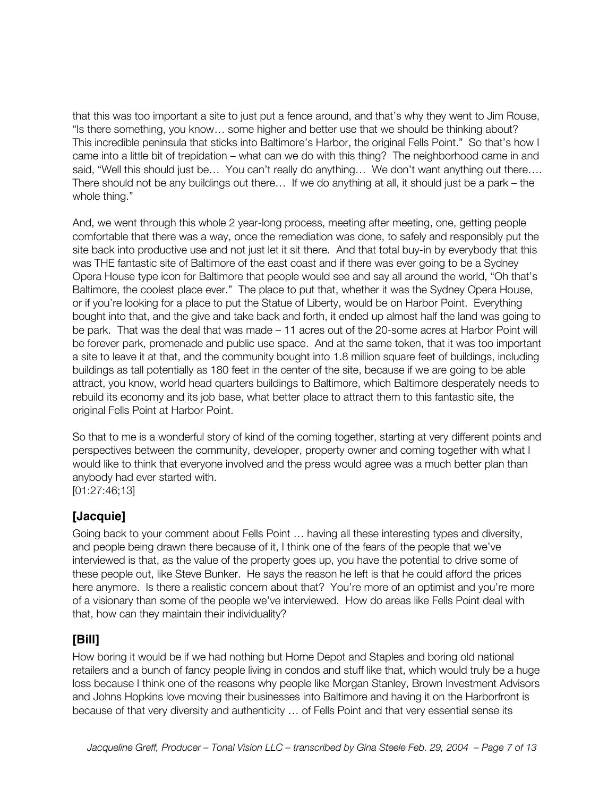that this was too important a site to just put a fence around, and that's why they went to Jim Rouse, "Is there something, you know… some higher and better use that we should be thinking about? This incredible peninsula that sticks into Baltimore's Harbor, the original Fells Point." So that's how I came into a little bit of trepidation – what can we do with this thing? The neighborhood came in and said, "Well this should just be... You can't really do anything... We don't want anything out there.... There should not be any buildings out there… If we do anything at all, it should just be a park – the whole thing."

And, we went through this whole 2 year-long process, meeting after meeting, one, getting people comfortable that there was a way, once the remediation was done, to safely and responsibly put the site back into productive use and not just let it sit there. And that total buy-in by everybody that this was THE fantastic site of Baltimore of the east coast and if there was ever going to be a Sydney Opera House type icon for Baltimore that people would see and say all around the world, "Oh that's Baltimore, the coolest place ever." The place to put that, whether it was the Sydney Opera House, or if you're looking for a place to put the Statue of Liberty, would be on Harbor Point. Everything bought into that, and the give and take back and forth, it ended up almost half the land was going to be park. That was the deal that was made – 11 acres out of the 20-some acres at Harbor Point will be forever park, promenade and public use space. And at the same token, that it was too important a site to leave it at that, and the community bought into 1.8 million square feet of buildings, including buildings as tall potentially as 180 feet in the center of the site, because if we are going to be able attract, you know, world head quarters buildings to Baltimore, which Baltimore desperately needs to rebuild its economy and its job base, what better place to attract them to this fantastic site, the original Fells Point at Harbor Point.

So that to me is a wonderful story of kind of the coming together, starting at very different points and perspectives between the community, developer, property owner and coming together with what I would like to think that everyone involved and the press would agree was a much better plan than anybody had ever started with. [01:27:46;13]

**[Jacquie]**

Going back to your comment about Fells Point … having all these interesting types and diversity, and people being drawn there because of it, I think one of the fears of the people that we've interviewed is that, as the value of the property goes up, you have the potential to drive some of these people out, like Steve Bunker. He says the reason he left is that he could afford the prices here anymore. Is there a realistic concern about that? You're more of an optimist and you're more of a visionary than some of the people we've interviewed. How do areas like Fells Point deal with that, how can they maintain their individuality?

#### **[Bill]**

How boring it would be if we had nothing but Home Depot and Staples and boring old national retailers and a bunch of fancy people living in condos and stuff like that, which would truly be a huge loss because I think one of the reasons why people like Morgan Stanley, Brown Investment Advisors and Johns Hopkins love moving their businesses into Baltimore and having it on the Harborfront is because of that very diversity and authenticity … of Fells Point and that very essential sense its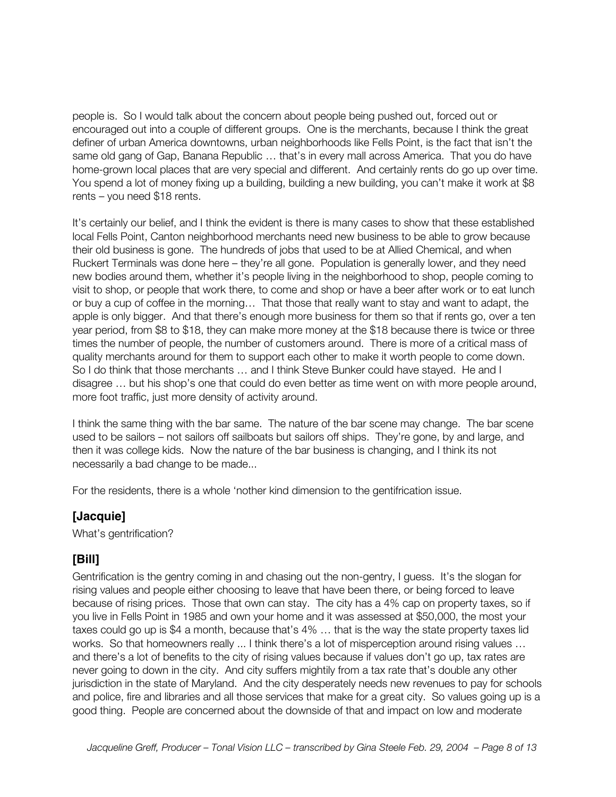people is. So I would talk about the concern about people being pushed out, forced out or encouraged out into a couple of different groups. One is the merchants, because I think the great definer of urban America downtowns, urban neighborhoods like Fells Point, is the fact that isn't the same old gang of Gap, Banana Republic … that's in every mall across America. That you do have home-grown local places that are very special and different. And certainly rents do go up over time. You spend a lot of money fixing up a building, building a new building, you can't make it work at \$8 rents – you need \$18 rents.

It's certainly our belief, and I think the evident is there is many cases to show that these established local Fells Point, Canton neighborhood merchants need new business to be able to grow because their old business is gone. The hundreds of jobs that used to be at Allied Chemical, and when Ruckert Terminals was done here – they're all gone. Population is generally lower, and they need new bodies around them, whether it's people living in the neighborhood to shop, people coming to visit to shop, or people that work there, to come and shop or have a beer after work or to eat lunch or buy a cup of coffee in the morning… That those that really want to stay and want to adapt, the apple is only bigger. And that there's enough more business for them so that if rents go, over a ten year period, from \$8 to \$18, they can make more money at the \$18 because there is twice or three times the number of people, the number of customers around. There is more of a critical mass of quality merchants around for them to support each other to make it worth people to come down. So I do think that those merchants … and I think Steve Bunker could have stayed. He and I disagree … but his shop's one that could do even better as time went on with more people around, more foot traffic, just more density of activity around.

I think the same thing with the bar same. The nature of the bar scene may change. The bar scene used to be sailors – not sailors off sailboats but sailors off ships. They're gone, by and large, and then it was college kids. Now the nature of the bar business is changing, and I think its not necessarily a bad change to be made...

For the residents, there is a whole 'nother kind dimension to the gentifrication issue.

#### **[Jacquie]**

What's gentrification?

#### **[Bill]**

Gentrification is the gentry coming in and chasing out the non-gentry, I guess. It's the slogan for rising values and people either choosing to leave that have been there, or being forced to leave because of rising prices. Those that own can stay. The city has a 4% cap on property taxes, so if you live in Fells Point in 1985 and own your home and it was assessed at \$50,000, the most your taxes could go up is \$4 a month, because that's 4% … that is the way the state property taxes lid works. So that homeowners really ... I think there's a lot of misperception around rising values ... and there's a lot of benefits to the city of rising values because if values don't go up, tax rates are never going to down in the city. And city suffers mightily from a tax rate that's double any other jurisdiction in the state of Maryland. And the city desperately needs new revenues to pay for schools and police, fire and libraries and all those services that make for a great city. So values going up is a good thing. People are concerned about the downside of that and impact on low and moderate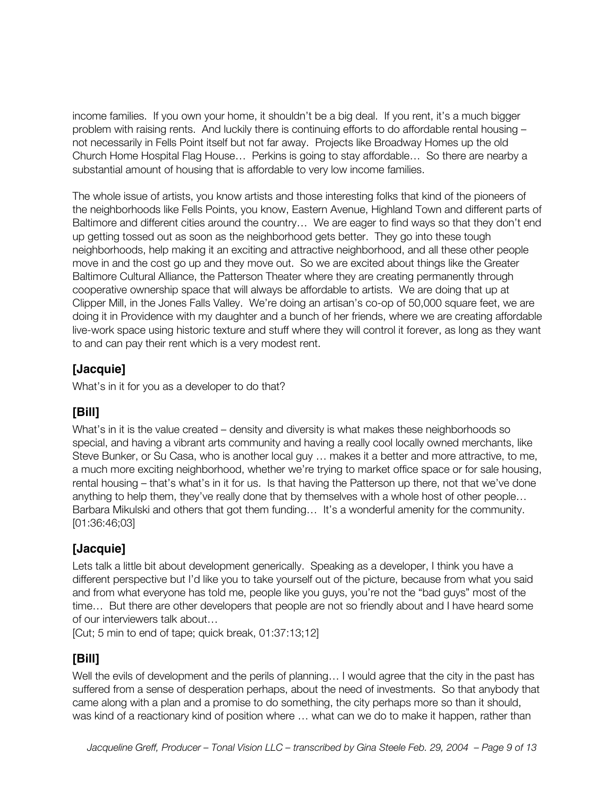income families. If you own your home, it shouldn't be a big deal. If you rent, it's a much bigger problem with raising rents. And luckily there is continuing efforts to do affordable rental housing – not necessarily in Fells Point itself but not far away. Projects like Broadway Homes up the old Church Home Hospital Flag House… Perkins is going to stay affordable… So there are nearby a substantial amount of housing that is affordable to very low income families.

The whole issue of artists, you know artists and those interesting folks that kind of the pioneers of the neighborhoods like Fells Points, you know, Eastern Avenue, Highland Town and different parts of Baltimore and different cities around the country… We are eager to find ways so that they don't end up getting tossed out as soon as the neighborhood gets better. They go into these tough neighborhoods, help making it an exciting and attractive neighborhood, and all these other people move in and the cost go up and they move out. So we are excited about things like the Greater Baltimore Cultural Alliance, the Patterson Theater where they are creating permanently through cooperative ownership space that will always be affordable to artists. We are doing that up at Clipper Mill, in the Jones Falls Valley. We're doing an artisan's co-op of 50,000 square feet, we are doing it in Providence with my daughter and a bunch of her friends, where we are creating affordable live-work space using historic texture and stuff where they will control it forever, as long as they want to and can pay their rent which is a very modest rent.

#### **[Jacquie]**

What's in it for you as a developer to do that?

#### **[Bill]**

What's in it is the value created – density and diversity is what makes these neighborhoods so special, and having a vibrant arts community and having a really cool locally owned merchants, like Steve Bunker, or Su Casa, who is another local guy … makes it a better and more attractive, to me, a much more exciting neighborhood, whether we're trying to market office space or for sale housing, rental housing – that's what's in it for us. Is that having the Patterson up there, not that we've done anything to help them, they've really done that by themselves with a whole host of other people… Barbara Mikulski and others that got them funding… It's a wonderful amenity for the community. [01:36:46;03]

#### **[Jacquie]**

Lets talk a little bit about development generically. Speaking as a developer, I think you have a different perspective but I'd like you to take yourself out of the picture, because from what you said and from what everyone has told me, people like you guys, you're not the "bad guys" most of the time… But there are other developers that people are not so friendly about and I have heard some of our interviewers talk about…

[Cut; 5 min to end of tape; quick break, 01:37:13;12]

#### **[Bill]**

Well the evils of development and the perils of planning... I would agree that the city in the past has suffered from a sense of desperation perhaps, about the need of investments. So that anybody that came along with a plan and a promise to do something, the city perhaps more so than it should, was kind of a reactionary kind of position where … what can we do to make it happen, rather than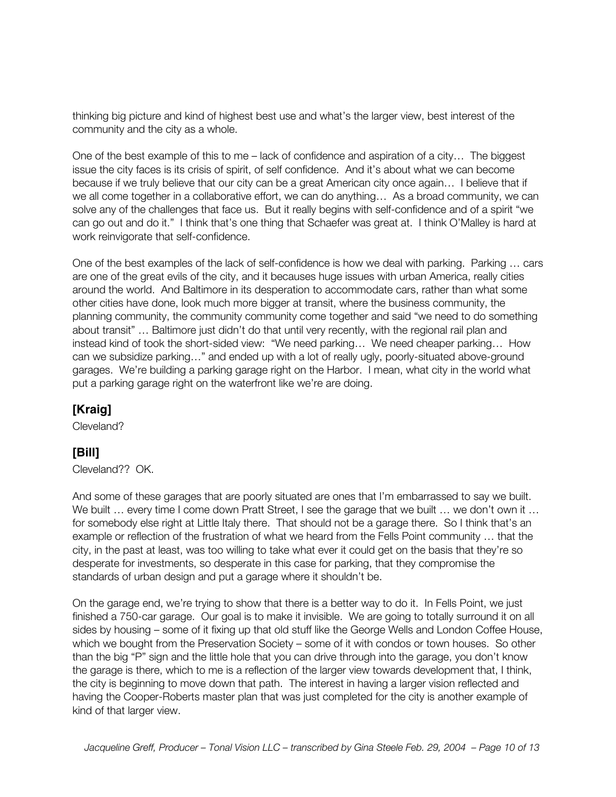thinking big picture and kind of highest best use and what's the larger view, best interest of the community and the city as a whole.

One of the best example of this to me – lack of confidence and aspiration of a city… The biggest issue the city faces is its crisis of spirit, of self confidence. And it's about what we can become because if we truly believe that our city can be a great American city once again… I believe that if we all come together in a collaborative effort, we can do anything… As a broad community, we can solve any of the challenges that face us. But it really begins with self-confidence and of a spirit "we can go out and do it." I think that's one thing that Schaefer was great at. I think O'Malley is hard at work reinvigorate that self-confidence.

One of the best examples of the lack of self-confidence is how we deal with parking. Parking … cars are one of the great evils of the city, and it becauses huge issues with urban America, really cities around the world. And Baltimore in its desperation to accommodate cars, rather than what some other cities have done, look much more bigger at transit, where the business community, the planning community, the community community come together and said "we need to do something about transit" … Baltimore just didn't do that until very recently, with the regional rail plan and instead kind of took the short-sided view: "We need parking… We need cheaper parking… How can we subsidize parking…" and ended up with a lot of really ugly, poorly-situated above-ground garages. We're building a parking garage right on the Harbor. I mean, what city in the world what put a parking garage right on the waterfront like we're are doing.

#### **[Kraig]**

Cleveland?

## **[Bill]**

Cleveland?? OK.

And some of these garages that are poorly situated are ones that I'm embarrassed to say we built. We built ... every time I come down Pratt Street, I see the garage that we built ... we don't own it ... for somebody else right at Little Italy there. That should not be a garage there. So I think that's an example or reflection of the frustration of what we heard from the Fells Point community … that the city, in the past at least, was too willing to take what ever it could get on the basis that they're so desperate for investments, so desperate in this case for parking, that they compromise the standards of urban design and put a garage where it shouldn't be.

On the garage end, we're trying to show that there is a better way to do it. In Fells Point, we just finished a 750-car garage. Our goal is to make it invisible. We are going to totally surround it on all sides by housing – some of it fixing up that old stuff like the George Wells and London Coffee House, which we bought from the Preservation Society – some of it with condos or town houses. So other than the big "P" sign and the little hole that you can drive through into the garage, you don't know the garage is there, which to me is a reflection of the larger view towards development that, I think, the city is beginning to move down that path. The interest in having a larger vision reflected and having the Cooper-Roberts master plan that was just completed for the city is another example of kind of that larger view.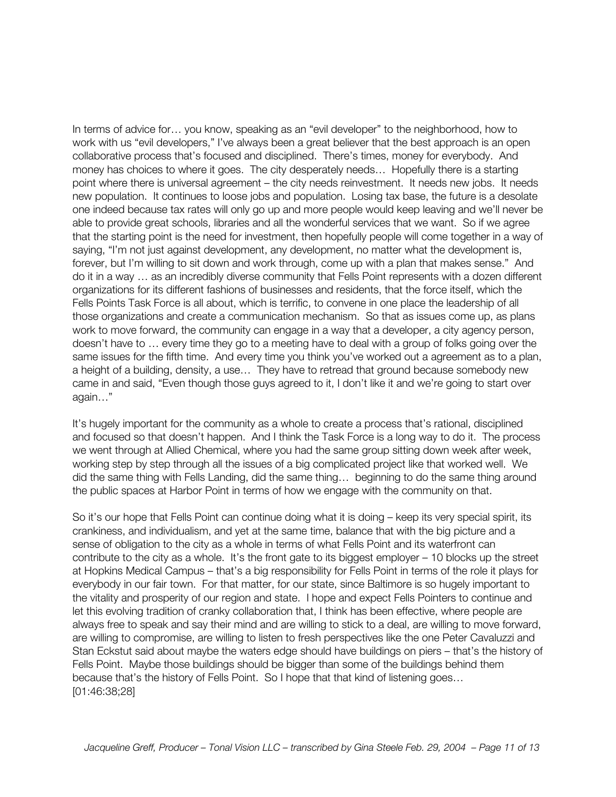In terms of advice for… you know, speaking as an "evil developer" to the neighborhood, how to work with us "evil developers," I've always been a great believer that the best approach is an open collaborative process that's focused and disciplined. There's times, money for everybody. And money has choices to where it goes. The city desperately needs… Hopefully there is a starting point where there is universal agreement – the city needs reinvestment. It needs new jobs. It needs new population. It continues to loose jobs and population. Losing tax base, the future is a desolate one indeed because tax rates will only go up and more people would keep leaving and we'll never be able to provide great schools, libraries and all the wonderful services that we want. So if we agree that the starting point is the need for investment, then hopefully people will come together in a way of saying, "I'm not just against development, any development, no matter what the development is, forever, but I'm willing to sit down and work through, come up with a plan that makes sense." And do it in a way … as an incredibly diverse community that Fells Point represents with a dozen different organizations for its different fashions of businesses and residents, that the force itself, which the Fells Points Task Force is all about, which is terrific, to convene in one place the leadership of all those organizations and create a communication mechanism. So that as issues come up, as plans work to move forward, the community can engage in a way that a developer, a city agency person, doesn't have to … every time they go to a meeting have to deal with a group of folks going over the same issues for the fifth time. And every time you think you've worked out a agreement as to a plan, a height of a building, density, a use… They have to retread that ground because somebody new came in and said, "Even though those guys agreed to it, I don't like it and we're going to start over again…"

It's hugely important for the community as a whole to create a process that's rational, disciplined and focused so that doesn't happen. And I think the Task Force is a long way to do it. The process we went through at Allied Chemical, where you had the same group sitting down week after week, working step by step through all the issues of a big complicated project like that worked well. We did the same thing with Fells Landing, did the same thing… beginning to do the same thing around the public spaces at Harbor Point in terms of how we engage with the community on that.

So it's our hope that Fells Point can continue doing what it is doing – keep its very special spirit, its crankiness, and individualism, and yet at the same time, balance that with the big picture and a sense of obligation to the city as a whole in terms of what Fells Point and its waterfront can contribute to the city as a whole. It's the front gate to its biggest employer – 10 blocks up the street at Hopkins Medical Campus – that's a big responsibility for Fells Point in terms of the role it plays for everybody in our fair town. For that matter, for our state, since Baltimore is so hugely important to the vitality and prosperity of our region and state. I hope and expect Fells Pointers to continue and let this evolving tradition of cranky collaboration that, I think has been effective, where people are always free to speak and say their mind and are willing to stick to a deal, are willing to move forward, are willing to compromise, are willing to listen to fresh perspectives like the one Peter Cavaluzzi and Stan Eckstut said about maybe the waters edge should have buildings on piers – that's the history of Fells Point. Maybe those buildings should be bigger than some of the buildings behind them because that's the history of Fells Point. So I hope that that kind of listening goes… [01:46:38;28]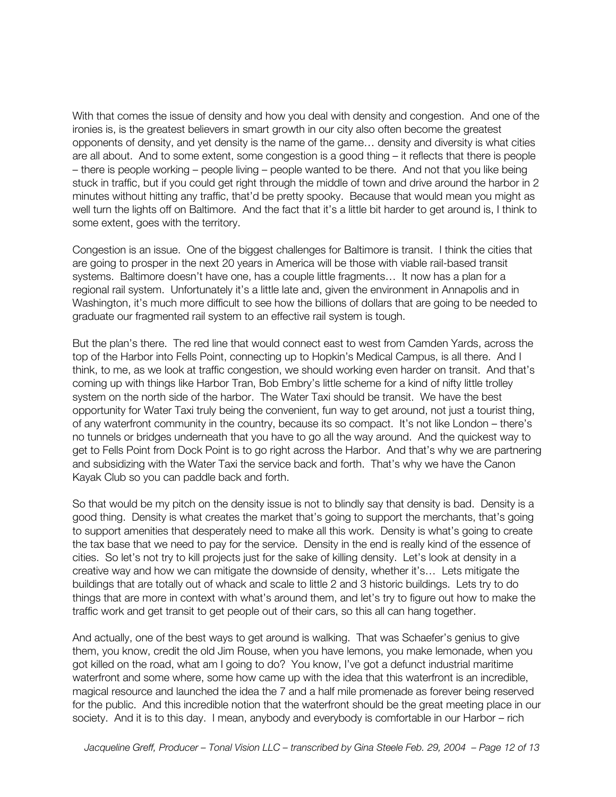With that comes the issue of density and how you deal with density and congestion. And one of the ironies is, is the greatest believers in smart growth in our city also often become the greatest opponents of density, and yet density is the name of the game… density and diversity is what cities are all about. And to some extent, some congestion is a good thing – it reflects that there is people – there is people working – people living – people wanted to be there. And not that you like being stuck in traffic, but if you could get right through the middle of town and drive around the harbor in 2 minutes without hitting any traffic, that'd be pretty spooky. Because that would mean you might as well turn the lights off on Baltimore. And the fact that it's a little bit harder to get around is, I think to some extent, goes with the territory.

Congestion is an issue. One of the biggest challenges for Baltimore is transit. I think the cities that are going to prosper in the next 20 years in America will be those with viable rail-based transit systems. Baltimore doesn't have one, has a couple little fragments... It now has a plan for a regional rail system. Unfortunately it's a little late and, given the environment in Annapolis and in Washington, it's much more difficult to see how the billions of dollars that are going to be needed to graduate our fragmented rail system to an effective rail system is tough.

But the plan's there. The red line that would connect east to west from Camden Yards, across the top of the Harbor into Fells Point, connecting up to Hopkin's Medical Campus, is all there. And I think, to me, as we look at traffic congestion, we should working even harder on transit. And that's coming up with things like Harbor Tran, Bob Embry's little scheme for a kind of nifty little trolley system on the north side of the harbor. The Water Taxi should be transit. We have the best opportunity for Water Taxi truly being the convenient, fun way to get around, not just a tourist thing, of any waterfront community in the country, because its so compact. It's not like London – there's no tunnels or bridges underneath that you have to go all the way around. And the quickest way to get to Fells Point from Dock Point is to go right across the Harbor. And that's why we are partnering and subsidizing with the Water Taxi the service back and forth. That's why we have the Canon Kayak Club so you can paddle back and forth.

So that would be my pitch on the density issue is not to blindly say that density is bad. Density is a good thing. Density is what creates the market that's going to support the merchants, that's going to support amenities that desperately need to make all this work. Density is what's going to create the tax base that we need to pay for the service. Density in the end is really kind of the essence of cities. So let's not try to kill projects just for the sake of killing density. Let's look at density in a creative way and how we can mitigate the downside of density, whether it's… Lets mitigate the buildings that are totally out of whack and scale to little 2 and 3 historic buildings. Lets try to do things that are more in context with what's around them, and let's try to figure out how to make the traffic work and get transit to get people out of their cars, so this all can hang together.

And actually, one of the best ways to get around is walking. That was Schaefer's genius to give them, you know, credit the old Jim Rouse, when you have lemons, you make lemonade, when you got killed on the road, what am I going to do? You know, I've got a defunct industrial maritime waterfront and some where, some how came up with the idea that this waterfront is an incredible, magical resource and launched the idea the 7 and a half mile promenade as forever being reserved for the public. And this incredible notion that the waterfront should be the great meeting place in our society. And it is to this day. I mean, anybody and everybody is comfortable in our Harbor – rich